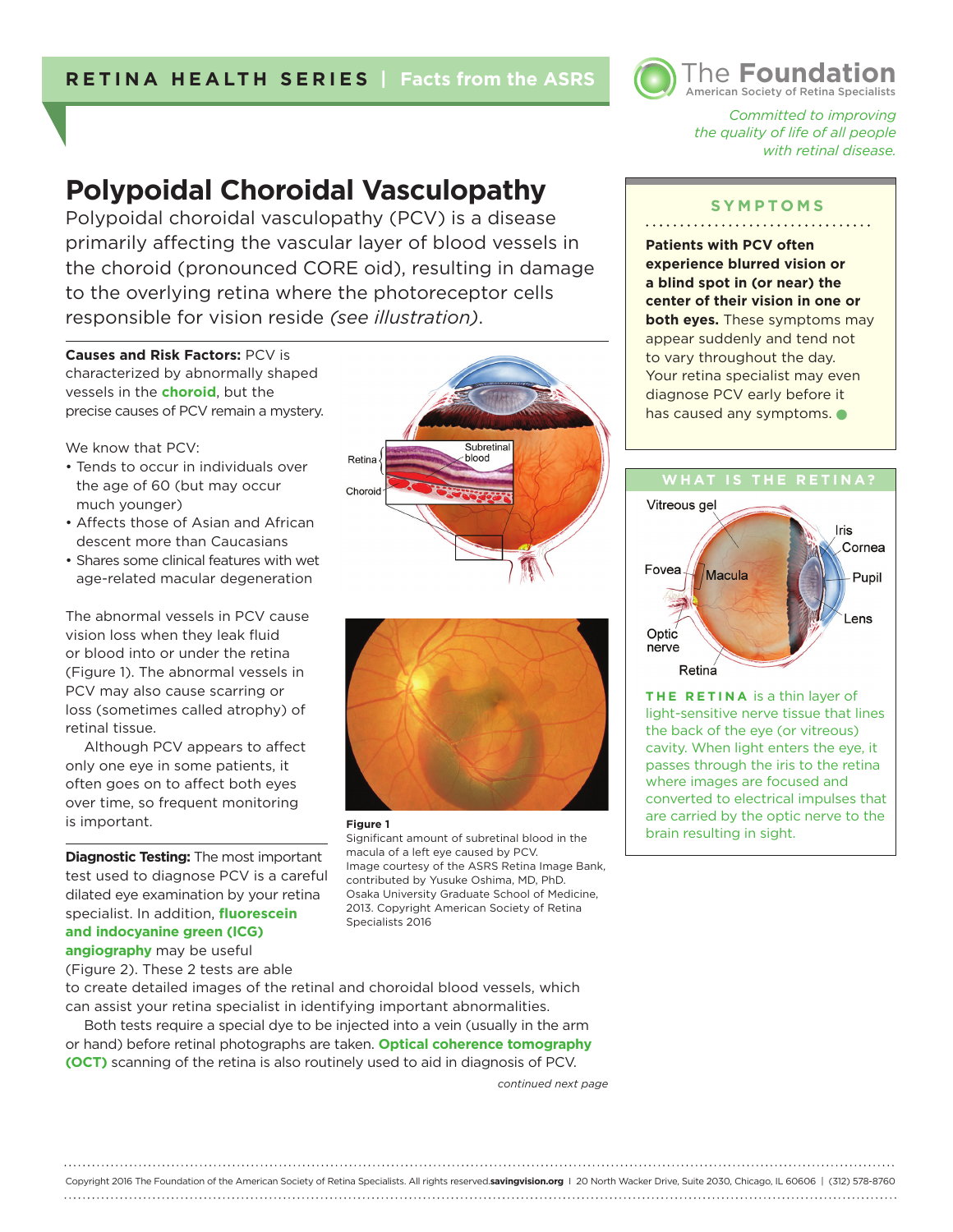

*Committed to improving the quality of life of all people with retinal disease.* 

American Society of Retina Specialists The **Foundation**

# **Polypoidal Choroidal Vasculopathy**

Polypoidal choroidal vasculopathy (PCV) is a disease primarily affecting the vascular layer of blood vessels in the choroid (pronounced CORE oid), resulting in damage to the overlying retina where the photoreceptor cells responsible for vision reside *(see illustration)*.

**Causes and Risk Factors:** PCV is characterized by abnormally shaped vessels in the **choroid**, but the precise causes of PCV remain a mystery.

We know that PCV:

- Tends to occur in individuals over the age of 60 (but may occur much younger)
- Affects those of Asian and African descent more than Caucasians
- Shares some clinical features with wet age-related macular degeneration

The abnormal vessels in PCV cause vision loss when they leak fluid or blood into or under the retina (Figure 1). The abnormal vessels in PCV may also cause scarring or loss (sometimes called atrophy) of retinal tissue.

Although PCV appears to affect only one eye in some patients, it often goes on to affect both eyes over time, so frequent monitoring is important.

**Diagnostic Testing:** The most important test used to diagnose PCV is a careful dilated eye examination by your retina specialist. In addition, **fluorescein and indocyanine green (ICG) angiography** may be useful

(Figure 2). These 2 tests are able

to create detailed images of the retinal and choroidal blood vessels, which can assist your retina specialist in identifying important abnormalities.

Both tests require a special dye to be injected into a vein (usually in the arm or hand) before retinal photographs are taken. **Optical coherence tomography (OCT)** scanning of the retina is also routinely used to aid in diagnosis of PCV.

*continued next page*

**SYMPTOMS**

**Patients with PCV often experience blurred vision or a blind spot in (or near) the center of their vision in one or both eyes.** These symptoms may appear suddenly and tend not to vary throughout the day. Your retina specialist may even diagnose PCV early before it has caused any symptoms.



**THE RETINA** is a thin layer of light-sensitive nerve tissue that lines the back of the eye (or vitreous) cavity. When light enters the eye, it passes through the iris to the retina where images are focused and converted to electrical impulses that are carried by the optic nerve to the brain resulting in sight.



Subretina Retina blood Choroid



#### **Figure 1**

Significant amount of subretinal blood in the macula of a left eye caused by PCV. Image courtesy of the ASRS Retina Image Bank, contributed by Yusuke Oshima, MD, PhD. Osaka University Graduate School of Medicine, 2013. Copyright American Society of Retina Specialists 2016